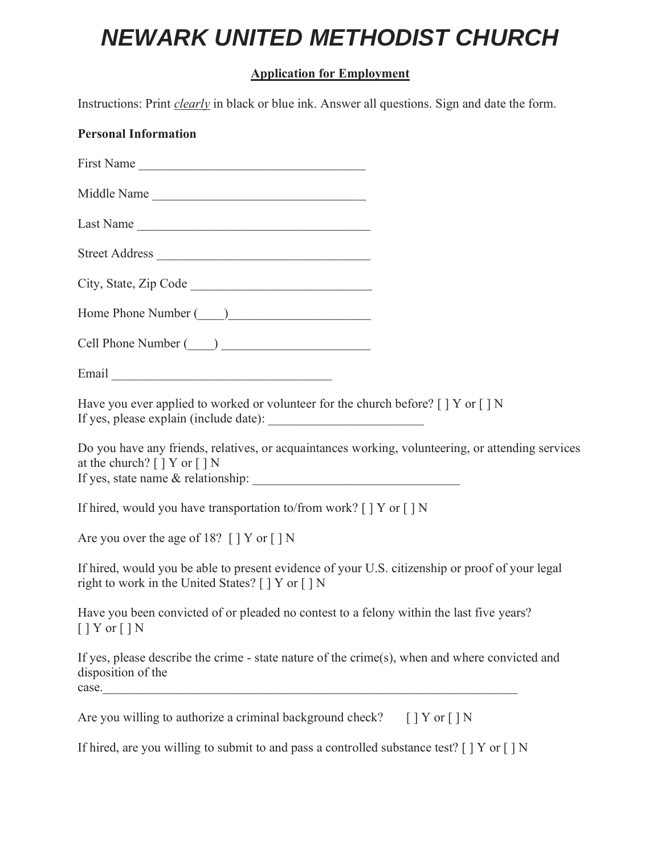# *NEWARK UNITED METHODIST CHURCH*

## **Application for Employment**

Instructions: Print *clearly* in black or blue ink. Answer all questions. Sign and date the form.

| <b>Personal Information</b>                                                                                                                                                            |  |
|----------------------------------------------------------------------------------------------------------------------------------------------------------------------------------------|--|
| First Name                                                                                                                                                                             |  |
| Middle Name                                                                                                                                                                            |  |
| Last Name                                                                                                                                                                              |  |
| Street Address                                                                                                                                                                         |  |
| City, State, Zip Code                                                                                                                                                                  |  |
| Home Phone Number (2008)                                                                                                                                                               |  |
| Cell Phone Number (2008)                                                                                                                                                               |  |
|                                                                                                                                                                                        |  |
| Have you ever applied to worked or volunteer for the church before? $[$   Y or $[$   N                                                                                                 |  |
| Do you have any friends, relatives, or acquaintances working, volunteering, or attending services<br>at the church? [ ] Y or [ ] N<br>If yes, state name & relationship: $\frac{1}{2}$ |  |
| If hired, would you have transportation to/from work? $[ \ ]$ Y or $[ \ ]$ N                                                                                                           |  |
| Are you over the age of 18? [] Y or [] N                                                                                                                                               |  |
| If hired, would you be able to present evidence of your U.S. citizenship or proof of your legal<br>right to work in the United States? [ ] Y or [ ] N                                  |  |
| Have you been convicted of or pleaded no contest to a felony within the last five years?<br>$[$   Y or $[$   N                                                                         |  |
| If yes, please describe the crime - state nature of the crime(s), when and where convicted and<br>disposition of the<br>case.                                                          |  |
| Are you willing to authorize a criminal background check? [] Y or [] N                                                                                                                 |  |

If hired, are you willing to submit to and pass a controlled substance test? [ ] Y or [ ] N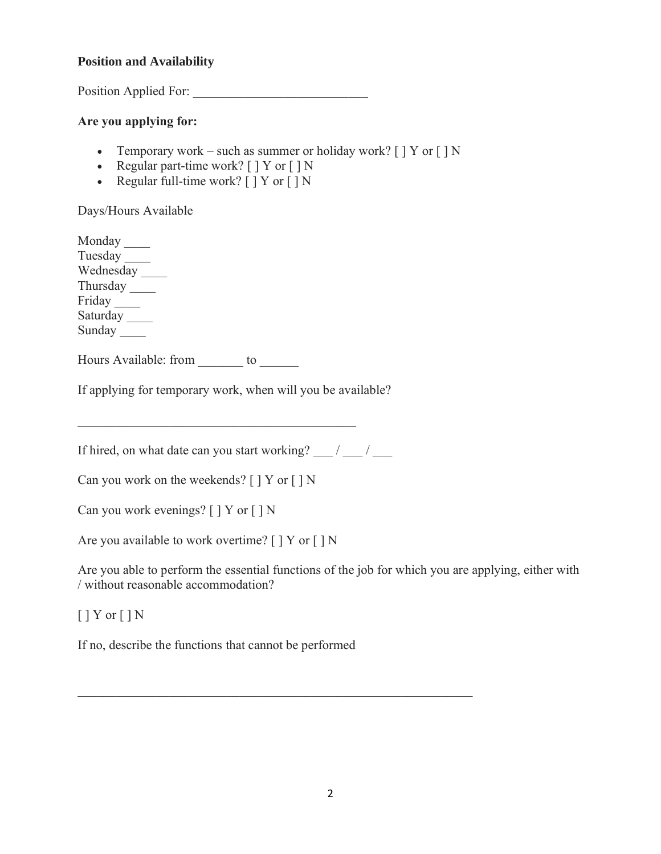#### **Position and Availability**

Position Applied For:

#### **Are you applying for:**

- Temporary work such as summer or holiday work?  $[$   $]$  Y or  $[$   $]$  N
- Regular part-time work?  $[$   $]$  Y or  $[$   $]$  N
- Regular full-time work?  $[$   $]$  Y or  $[$   $]$  N

Days/Hours Available

Monday \_\_\_\_ Tuesday Wednesday Thursday \_\_\_\_ Friday \_\_\_\_ Saturday Sunday \_\_\_\_

Hours Available: from to

If applying for temporary work, when will you be available?

If hired, on what date can you start working?  $\frac{1}{2}$  /

Can you work on the weekends? [ ] Y or [ ] N

Can you work evenings? [ ] Y or [ ] N

Are you available to work overtime? [ ] Y or [ ] N

Are you able to perform the essential functions of the job for which you are applying, either with / without reasonable accommodation?

 $[$  ] Y or  $[$  ] N

If no, describe the functions that cannot be performed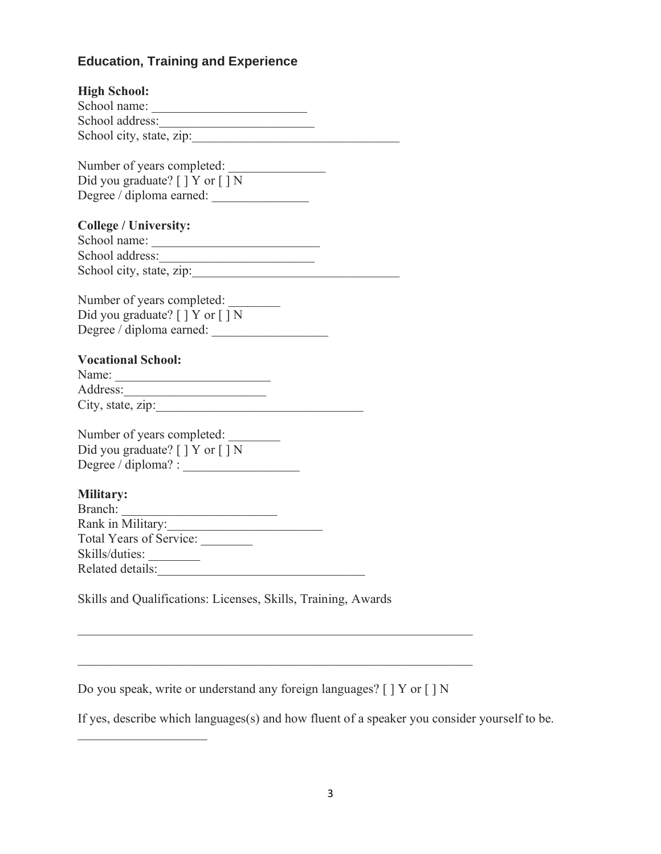## **Education, Training and Experience**

| <b>High School:</b><br>School name:                           |
|---------------------------------------------------------------|
|                                                               |
|                                                               |
| School city, state, zip:                                      |
| Number of years completed:                                    |
| Did you graduate? $[$ $]$ Y or $[$ $]$ N                      |
|                                                               |
| Degree / diploma earned:                                      |
| <b>College / University:</b>                                  |
|                                                               |
|                                                               |
|                                                               |
| School city, state, zip:                                      |
|                                                               |
| Number of years completed:                                    |
| Did you graduate? [ ] Y or [ ] N                              |
| Degree / diploma earned:                                      |
| <b>Vocational School:</b>                                     |
| Name:                                                         |
|                                                               |
|                                                               |
|                                                               |
| Number of years completed:                                    |
| Did you graduate? [ ] Y or [ ] N                              |
|                                                               |
|                                                               |
| <b>Military:</b>                                              |
| Branch:                                                       |
| Rank in Military:<br>Total Years of Service:                  |
|                                                               |
| Skills/duties:                                                |
| Related details:                                              |
|                                                               |
| Skills and Qualifications: Licenses, Skills, Training, Awards |

Do you speak, write or understand any foreign languages? [ ] Y or [ ] N

If yes, describe which languages(s) and how fluent of a speaker you consider yourself to be.

\_\_\_\_\_\_\_\_\_\_\_\_\_\_\_\_\_\_\_\_\_\_\_\_\_\_\_\_\_\_\_\_\_\_\_\_\_\_\_\_\_\_\_\_\_\_\_\_\_\_\_\_\_\_\_\_\_\_\_\_\_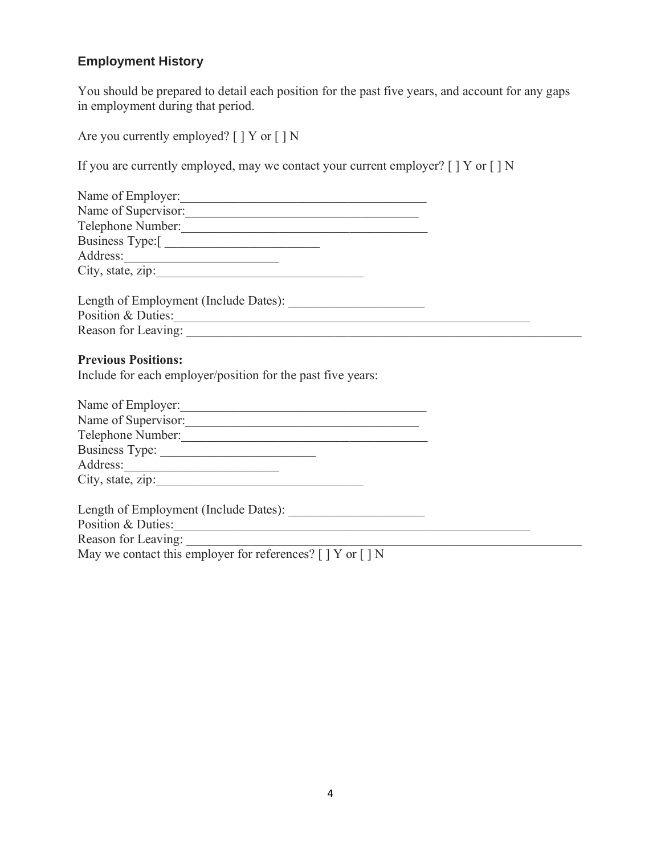## **Employment History**

You should be prepared to detail each position for the past five years, and account for any gaps in employment during that period.

Are you currently employed? [ ] Y or [ ] N

If you are currently employed, may we contact your current employer?  $[ \ ]$  Y or  $[ \ ]$  N

| Name of Employer:                                                                         |  |
|-------------------------------------------------------------------------------------------|--|
| Name of Supervisor:                                                                       |  |
| Telephone Number:                                                                         |  |
| Business Type:[                                                                           |  |
|                                                                                           |  |
| City, state, zip:                                                                         |  |
| Length of Employment (Include Dates):                                                     |  |
| Position & Duties:                                                                        |  |
|                                                                                           |  |
| <b>Previous Positions:</b><br>Include for each employer/position for the past five years: |  |
| Name of Employer:                                                                         |  |
| Name of Supervisor:                                                                       |  |
| Telephone Number: New York 2018                                                           |  |
|                                                                                           |  |
| Address:                                                                                  |  |
| City, state, zip:                                                                         |  |
|                                                                                           |  |
| Position & Duties:                                                                        |  |
| Reason for Leaving:                                                                       |  |

May we contact this employer for references?  $[ ] Y$  or  $[ ] N$